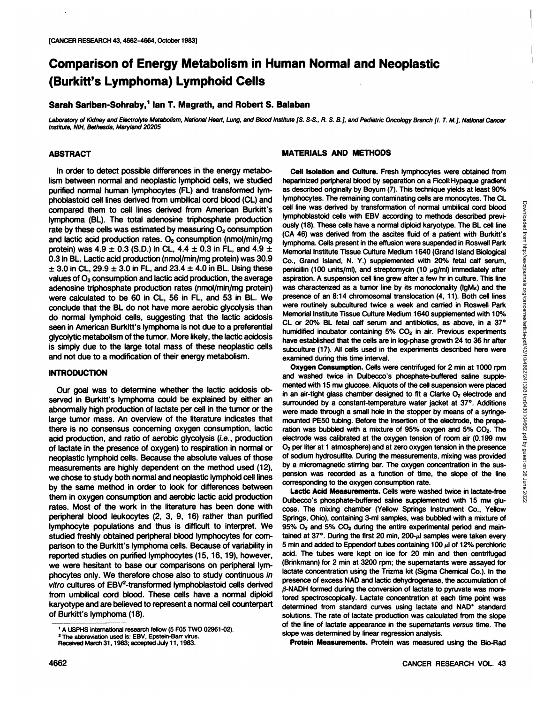# **Comparison of Energy Metabolism in Human Normal and Neoplastia (Burkitt's Lymphoma) Lymphoid Cells**

# **Sarah Sariban-Sohraby,1 Ian T. Magrath, and Robert S. Balaban**

Laboratory of Kidney and Electrolyte Metabolism, National Heart, Lung, and Blood Institute [S. S-S., R. S. B.], and Pediatric Oncology Branch [I. T. M.], National Cancer Institute, NIH, Bethesda, Maryland 20205

# **ABSTRACT**

In order to detect possible differences in the energy metabo lism between normal and neoplastic lymphoid cells, we studied purified normal human lymphocytes (FL) and transformed lymphoblastoid cell lines derived from umbilical cord blood (CL) and compared them to cell lines derived from American Burkitt's lymphoma (BL). The total adenosine triphosphate production rate by these cells was estimated by measuring  $O<sub>2</sub>$  consumption and lactic acid production rates.  $O<sub>2</sub>$  consumption (nmol/min/mg protein) was  $4.9 \pm 0.3$  (S.D.) in CL,  $4.4 \pm 0.3$  in FL, and  $4.9 \pm 1.5$ 0.3 in BL. Lactic acid production (nmol/min/mg protein) was 30.9  $\pm$  3.0 in CL, 29.9  $\pm$  3.0 in FL, and 23.4  $\pm$  4.0 in BL. Using these values of  $O<sub>2</sub>$  consumption and lactic acid production, the average adenosine triphosphate production rates (nmol/min/mg protein) were calculated to be 60 in CL, 56 in FL, and 53 in BL. We conclude that the BL do not have more aerobic glycolysis than do normal lymphoid cells, suggesting that the lactic acidosis seen in American Burkitt's lymphoma is not due to a preferential glycolytic metabolism of the tumor. More likely, the lactic acidosis is simply due to the large total mass of these neoplastic cells and not due to a modification of their energy metabolism.

#### **INTRODUCTION**

Our goal was to determine whether the lactic acidosis ob served in Burkitt's lymphoma could be explained by either an abnormally high production of lactate per cell in the tumor or the large tumor mass. An overview of the literature indicates that there is no consensus concerning oxygen consumption, lactic acid production, and ratio of aerobic glycolysis (i.e., production of lactate in the presence of oxygen) to respiration in normal or neoplastic lymphoid cells. Because the absolute values of those measurements are highly dependent on the method used (12), we chose to study both normal and neoplastic lymphoid cell lines by the same method in order to look for differences between them in oxygen consumption and aerobic lactic acid production rates. Most of the work in the literature has been done with peripheral blood leukocytes (2, 3, 9, 16) rather than purified lymphocyte populations and thus is difficult to interpret. We studied freshly obtained peripheral blood lymphocytes for com parison to the Burkitt's lymphoma cells. Because of variability in reported studies on purified lymphocytes (15,16,19), however, we were hesitant to base our comparisons on peripheral lym phocytes only. We therefore chose also to study continuous in vitro cultures of  $EBV<sup>2</sup>$ -transformed lymphoblastoid cells derived from umbilical cord blood. These cells have a normal diploid karyotype and are believed to represent a normal cell counterpart<br>of Burkitt's lymphoma (18).<br>solutions. The rate of lactate production was calculated from the slope

2The abbreviation used is: EBV, Epstein-Barr virus.

# **MATERIALS AND METHODS**

**Cell Isolation and Culture. Fresh lymphocytes were obtained from** heparinized peripheral blood by separation on a Ficoll: Hypaque gradient as described originally by Boyum (7). This technique yields at least 90% lymphocytes. The remaining contaminating cells are monocytes. The CLI line was derived by transformation of normal umblicial cord blood by plyhoblastoid cells with EBV according to method discribed provides are compatible cell line was derived by transformation of normal umbilical cord blood lymphoblastoid cells with EBV according to methods described previ ously (18). These cells have a normal diploid karyotype. The BL cell line (CA 46) was derived from the ascites fluid of a patient with Burkitt's lymphoma. Cells present in the effusion were suspended in Roswell Park Memorial Institute Tissue Culture Medium 1640 (Grand Island Biological Co., Grand Island, N. Y.) supplemented with 20% fetal calf serum, penicillin (100 units/ml), and streptomycin (10  $\mu$ g/ml) immediately after aspiration. A suspension cell line grew after a few hr in culture. This line was characterized as a tumor line by its monoclonality ( $lgMx$ ) and the presence of an 8:14 chromosomal translocation (4, 11). Both cell lines were routinely subcultured twice a week and carried in Roswell Park Memorial Institute Tissue Culture Medium 1640 supplemented with 10% CL or 20% BL fetal calf serum and antibiotics, as above, in a 37° humidified incubator containing  $5\%$  CO<sub>2</sub> in air. Previous experiments have established that the cells are in log-phase growth 24 to 36 hr after subculture (17). All cells used in the experiments described here were examined during this time interval.

**Oxygen Consumption. Cells were centrifugea for 2 min at 1000 rpm** and washed twice in Dulbecco's phosphate-buffered saline supple mented with 15 mm glucose. Aliquots of the cell suspension were placed in an air-tight glass chamber designed to fit a Clarke  $O<sub>2</sub>$  electrode and surrounded by a constant-temperature water jacket at 37°. Additions were made through a small hole in the stopper by means of a syringemounted PESO tubing. Before the insertion of the electrode, the prepa ration was bubbled with a mixture of  $95\%$  oxygen and  $5\%$  CO<sub>2</sub>. The electrode was calibrated at the oxygen tension of room air (0.199 mm O2 perliter at 1 atmosphere) and at zero oxygen tension in the presence of sodium hydrosulfite. During the measurements, mixing was provided by a micromagnetic stirring bar. The oxygen concentration in the sus pension was recorded as a function of time, the slope of the line corresponding to the oxygen consumption rate.

**Lactic Acid Measurements. Cells were washed twice in lactate-free** Dulbecco's phosphate-buffered saline supplemented with 15 mm glucose. The mixing chamber (Yellow Springs Instrument Co., Yellow Springs, Ohio), containing 3-ml samples, was bubbled with a mixture of 95% O2 and 5% CO2 during the entire experimental period and main tained at  $37^\circ$ . During the first 20 min, 200- $\mu$ l samples were taken every 5 min and added to Eppendorf tubes containing 100  $\mu$  of 12% perchloric acid. The tubes were kept on ice for 20 min and then centrifuged (Brinkmann) for 2 min at 3200 rpm; the supematants were assayed for lactate concentration using the Trizma kit (Sigma Chemical Co.). In the presence of excess NAD and lactic dehydrogenase, the accumulation of  $\beta$ -NADH formed during the conversion of lactate to pyruvate was monitored spectroscopically. Lactate concentration at each time point was solutions. The rate of lactate production was calculated from the slope of the line of lactate appearance in the supematants versus time. The slope was determined by linear regression analysis.

**Protein Measurements. Protein was measured using the Bio-Rad**

<sup>1</sup>A USPHS international research fellow (5 F05 TWO 02961-02).

Received March 31,1983; accepted July 11,1983.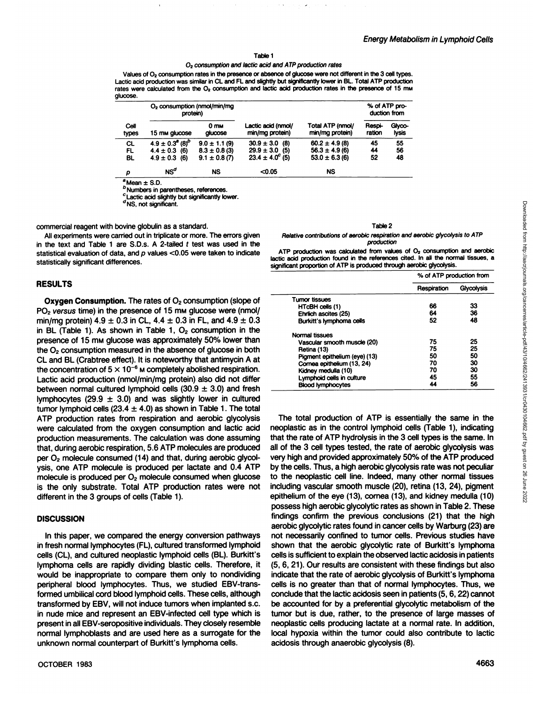#### Table 1

### 02 consumption and lactic acid and ATP production rates

Values of O2 consumption rates in the presence or absence of glucose were not different in the 3 cell types. Lactic acid production was similar in CL and FL and slightly but significantly lower in BL. Total ATP production rates were calculated from the O<sub>2</sub> consumption and lactic acid production rates in the presence of 15 mm glucose.

|               | $O2$ consumption (nmol/min/mg<br>protein) |                            |                                       |                                     | % of ATP pro-<br>duction from |                 |
|---------------|-------------------------------------------|----------------------------|---------------------------------------|-------------------------------------|-------------------------------|-----------------|
| Cell<br>types | 15 mm glucose                             | 0 <sub>mm</sub><br>glucose | Lactic acid (nmol/<br>min/mg protein) | Total ATP (nmol/<br>min/mg protein) | Respi-<br>ration              | Glyco-<br>lysis |
| CL            | $4.9 \pm 0.3^{a}$ (8) <sup>b</sup>        | $9.0 \pm 1.1$ (9)          | $30.9 \pm 3.0$ (8)                    | $60.2 \pm 4.9(8)$                   | 45                            | 55              |
| FL            | $4.4 \pm 0.3$ (6)                         | $8.3 \pm 0.8$ (3)          | $29.9 \pm 3.0$ (5)                    | $56.3 \pm 4.9$ (6)                  | 44                            | 56              |
| BL            | $4.9 \pm 0.3$<br>(6)                      | $9.1 \pm 0.8(7)$           | $23.4 \pm 4.0^{\circ}$ (5)            | $53.0 \pm 6.3$ (6)                  | 52                            | 48              |
| ρ             | $\mathsf{NS}^d$                           | NS                         | < 0.05                                | NS                                  |                               |                 |

 $^a$ Mean  $\pm$  S.D.

**b** Numbers in parentheses, references.

Lactic acid slightly but significantly lower.

<sup>d</sup>NS, not significant.

commercial reagent with bovine globulin as a standard.

All experiments were carried out in triplicate or more. The errors given in the text and Table 1 are S.D.s. A 2-tailed  $t$  test was used in the statistical evaluation of data, and  $p$  values  $<$ 0.05 were taken to indicate statistically significant differences.

#### **RESULTS**

**Oxygen Consumption. The rates of 02 consumption (slope of** PO<sub>2</sub> versus time) in the presence of 15 mm glucose were (nmol/ min/mg protein)  $4.9 \pm 0.3$  in CL,  $4.4 \pm 0.3$  in FL, and  $4.9 \pm 0.3$ in BL (Table 1). As shown in Table 1,  $O<sub>2</sub>$  consumption in the presence of 15 mw glucose was approximately 50% lower than the  $O<sub>2</sub>$  consumption measured in the absence of glucose in both CL and BL (Crabtree effect). It is noteworthy that antimycin A at the concentration of  $5 \times 10^{-6}$  M completely abolished respiration. Lactic acid production (nmol/min/mg protein) also did not differ between normal cultured lymphoid cells  $(30.9 \pm 3.0)$  and fresh lymphocytes (29.9  $\pm$  3.0) and was slightly lower in cultured tumor lymphoid cells (23.4  $\pm$  4.0) as shown in Table 1. The total ATP production rates from respiration and aerobic glycolysis were calculated from the oxygen consumption and lactic acid production measurements. The calculation was done assuming that, during aerobic respiration, 5.6 ATP molecules are produced per  $O<sub>2</sub>$  molecule consumed (14) and that, during aerobic glycolysis, one ATP molecule is produced per lactate and 0.4 ATP molecule is produced per  $O<sub>2</sub>$  molecule consumed when glucose is the only substrate. Total ATP production rates were not different in the 3 groups of cells (Table 1).

## **DISCUSSION**

In this paper, we compared the energy conversion pathways in fresh normal lymphocytes (FL), cultured transformed lymphoid cells (CL), and cultured neoplastic lymphoid cells (BL). Burkitt's lymphoma cells are rapidly dividing blastic cells. Therefore, it would be inappropriate to compare them only to nondividing peripheral blood lymphocytes. Thus, we studied EBV-transformed umbilical cord blood lymphoid cells. These cells, although transformed by EBV, will not induce tumors when implanted s.c. in nude mice and represent an EBV-infected cell type which is present in all EBV-seropositive individuals. They closely resemble normal lymphoblasts and are used here as a surrogate for the unknown normal counterpart of Burkitt's lymphoma cells.

#### Table 2

#### Relative contributions of aerobic respiration and aerobic glycolysis to ATP production

|                                                                                                                                                                                                                                                                                                                                                                                                         | % of ATP production from                                    |            |
|---------------------------------------------------------------------------------------------------------------------------------------------------------------------------------------------------------------------------------------------------------------------------------------------------------------------------------------------------------------------------------------------------------|-------------------------------------------------------------|------------|
|                                                                                                                                                                                                                                                                                                                                                                                                         | Respiration                                                 | Glycolysis |
| <b>Tumor tissues</b>                                                                                                                                                                                                                                                                                                                                                                                    |                                                             |            |
| HTcBH cells (1)                                                                                                                                                                                                                                                                                                                                                                                         | 66                                                          | 33         |
| Ehrlich ascites (25)                                                                                                                                                                                                                                                                                                                                                                                    | 64                                                          | 36         |
| Burkitt's lymphoma cells                                                                                                                                                                                                                                                                                                                                                                                | 52                                                          | 48         |
| Normal tissues                                                                                                                                                                                                                                                                                                                                                                                          |                                                             |            |
| Vascular smooth muscle (20)                                                                                                                                                                                                                                                                                                                                                                             | 75                                                          | 25         |
| Retina (13)                                                                                                                                                                                                                                                                                                                                                                                             | 75                                                          | 25         |
| Pigment epithelium (eye) (13)                                                                                                                                                                                                                                                                                                                                                                           | 50                                                          | 50         |
| Cornea epithelium (13, 24)                                                                                                                                                                                                                                                                                                                                                                              | 70                                                          | 30         |
| Kidney medulla (10)                                                                                                                                                                                                                                                                                                                                                                                     | 70                                                          | 30         |
| Lymphoid cells in culture                                                                                                                                                                                                                                                                                                                                                                               | 45                                                          | 55         |
| <b>Blood lymphocytes</b>                                                                                                                                                                                                                                                                                                                                                                                | 44                                                          | 56         |
| The total production of ATP is essentially the same in the<br>eoplastic as in the control lymphoid cells (Table 1), indicating<br>at the rate of ATP hydrolysis in the 3 cell types is the same. In<br>of the 3 cell types tested, the rate of aerobic glycolysis was<br>ry high and provided approximately 50% of the ATP produced<br>the cells. Thus, a high aerobic glycolysis rate was not peculiar | the neoplastic cell line. Indeed, many other normal tissues |            |

neoplastic as in the control lymphoid cells (Table 1), indicating that the rate of ATP hydrolysis in the 3 cell types is the same. In all of the 3 cell types tested, the rate of aerobic glycolysis was very high and provided approximately 50% of the ATP produced by the cells. Thus, a high aerobic glycolysis rate was not peculiar to the neoplastic cell line. Indeed, many other normal tissues including vascular smooth muscle (20), retina (13, 24), pigment epithelium of the eye (13), cornea (13), and kidney medulla (10) possess high aerobic glycolytic rates as shown in Table 2. These findings confirm the previous conclusions (21) that the high aerobic glycolytic rates found in cancer cells by Warburg (23) are not necessarily confined to tumor cells. Previous studies have shown that the aerobic glycolytic rate of Burkitt's lymphoma cells is sufficient to explain the observed lactic acidosis in patients (5, 6, 21). Our results are consistent with these findings but also indicate that the rate of aerobic glycolysis of Burkitt's lymphoma cells is no greater than that of normal lymphocytes. Thus, we conclude that the lactic acidosis seen in patients (5,6,22) cannot be accounted for by a preferential glycolytic metabolism of the tumor but is due, rather, to the presence of large masses of neoplastic cells producing lactate at a normal rate. In addition, local hypoxia within the tumor could also contribute to lactic acidosis through anaerobic glycolysis (8).